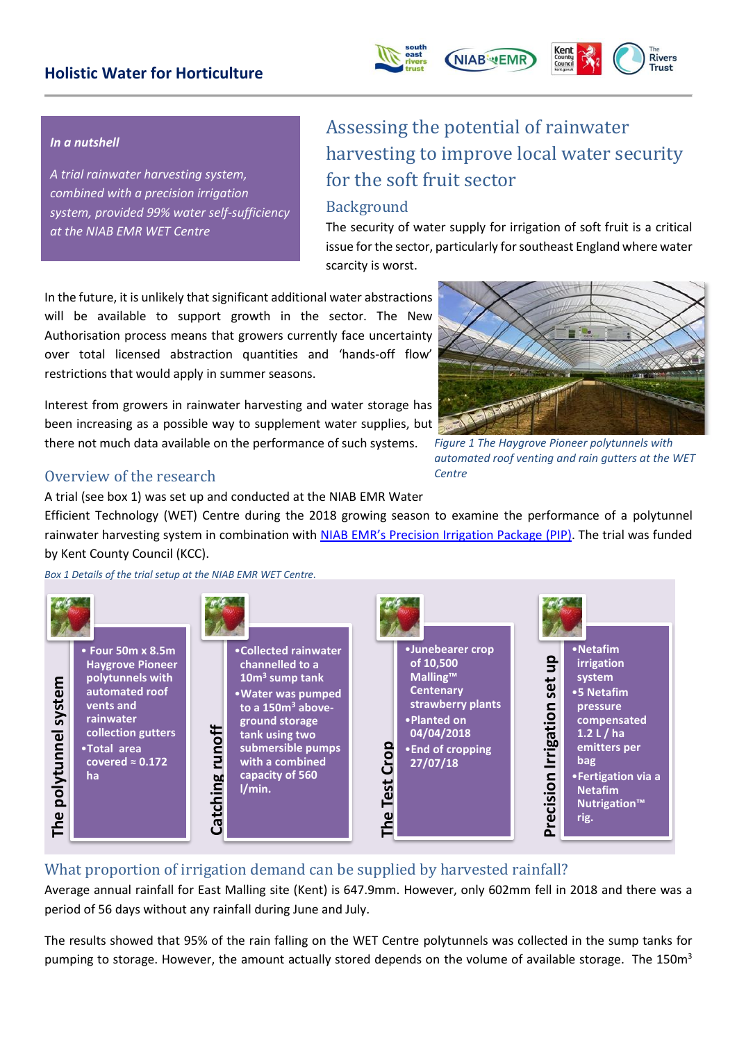### **Holistic Water for Horticulture**





#### *In a nutshell*

*A trial rainwater harvesting system, combined with a precision irrigation system, provided 99% water self-sufficiency at the NIAB EMR WET Centre*

# Assessing the potential of rainwater harvesting to improve local water security for the soft fruit sector

#### Background

The security of water supply for irrigation of soft fruit is a critical issue for the sector, particularly for southeast England where water scarcity is worst.

In the future, it is unlikely that significant additional water abstractions will be available to support growth in the sector. The New Authorisation process means that growers currently face uncertainty over total licensed abstraction quantities and 'hands-off flow' restrictions that would apply in summer seasons.

Interest from growers in rainwater harvesting and water storage has been increasing as a possible way to supplement water supplies, but there not much data available on the performance of such systems.



*Figure 1 The Haygrove Pioneer polytunnels with automated roof venting and rain gutters at the WET Centre*

#### Overview of the research

A trial (see box 1) was set up and conducted at the NIAB EMR Water

Efficient Technology (WET) Centre during the 2018 growing season to examine the performance of a polytunnel rainwater harvesting system in combination with [NIAB EMR's Precision Irrigation Package](http://www.emr.ac.uk/resource-efficiency-for-crop-production/current-projects/wet-centre/) (PIP). The trial was funded by Kent County Council (KCC).

*Box 1 Details of the trial setup at the NIAB EMR WET Centre.*



#### What proportion of irrigation demand can be supplied by harvested rainfall?

Average annual rainfall for East Malling site (Kent) is 647.9mm. However, only 602mm fell in 2018 and there was a period of 56 days without any rainfall during June and July.

The results showed that 95% of the rain falling on the WET Centre polytunnels was collected in the sump tanks for